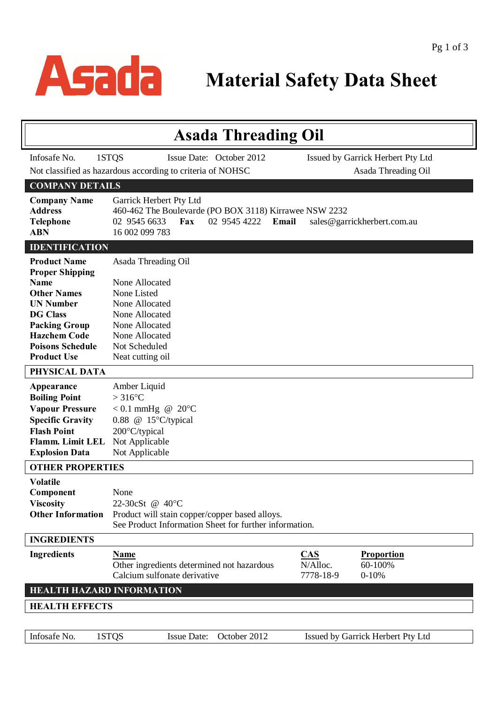

| <b>Asada Threading Oil</b>                                                                                                                                                                                                                                                                                 |                                                                                                                                                                                                                                        |  |  |  |
|------------------------------------------------------------------------------------------------------------------------------------------------------------------------------------------------------------------------------------------------------------------------------------------------------------|----------------------------------------------------------------------------------------------------------------------------------------------------------------------------------------------------------------------------------------|--|--|--|
| Infosafe No.                                                                                                                                                                                                                                                                                               | 1STQS<br>Issue Date: October 2012<br>Issued by Garrick Herbert Pty Ltd                                                                                                                                                                 |  |  |  |
|                                                                                                                                                                                                                                                                                                            | Not classified as hazardous according to criteria of NOHSC<br>Asada Threading Oil                                                                                                                                                      |  |  |  |
| <b>COMPANY DETAILS</b>                                                                                                                                                                                                                                                                                     |                                                                                                                                                                                                                                        |  |  |  |
| <b>Company Name</b><br><b>Address</b><br><b>Telephone</b><br><b>ABN</b>                                                                                                                                                                                                                                    | Garrick Herbert Pty Ltd<br>460-462 The Boulevarde (PO BOX 3118) Kirrawee NSW 2232<br>02 9545 6633<br>02 9545 4222<br>Fax<br>Email<br>sales@garrickherbert.com.au<br>16 002 099 783                                                     |  |  |  |
| <b>IDENTIFICATION</b>                                                                                                                                                                                                                                                                                      |                                                                                                                                                                                                                                        |  |  |  |
| <b>Product Name</b><br><b>Proper Shipping</b><br><b>Name</b><br><b>Other Names</b><br><b>UN Number</b><br><b>DG Class</b><br><b>Packing Group</b><br><b>Hazchem Code</b><br><b>Poisons Schedule</b><br><b>Product Use</b><br>PHYSICAL DATA<br>Appearance<br><b>Boiling Point</b><br><b>Vapour Pressure</b> | Asada Threading Oil<br>None Allocated<br>None Listed<br>None Allocated<br>None Allocated<br>None Allocated<br>None Allocated<br>Not Scheduled<br>Neat cutting oil<br>Amber Liquid<br>$>316^{\circ}$ C<br>$< 0.1$ mmHg @ 20 $\degree$ C |  |  |  |
| <b>Specific Gravity</b>                                                                                                                                                                                                                                                                                    | 0.88 @ $15^{\circ}$ C/typical                                                                                                                                                                                                          |  |  |  |
| <b>Flash Point</b><br>Flamm. Limit LEL<br><b>Explosion Data</b>                                                                                                                                                                                                                                            | 200°C/typical<br>Not Applicable<br>Not Applicable                                                                                                                                                                                      |  |  |  |
| <b>OTHER PROPERTIES</b>                                                                                                                                                                                                                                                                                    |                                                                                                                                                                                                                                        |  |  |  |
| <b>Volatile</b><br>Component<br><b>Viscosity</b><br><b>Other Information</b>                                                                                                                                                                                                                               | None<br>22-30cSt @ 40°C<br>Product will stain copper/copper based alloys.<br>See Product Information Sheet for further information.                                                                                                    |  |  |  |
| <b>INGREDIENTS</b>                                                                                                                                                                                                                                                                                         |                                                                                                                                                                                                                                        |  |  |  |
| <b>Ingredients</b>                                                                                                                                                                                                                                                                                         | CAS<br><b>Proportion</b><br><b>Name</b><br>N/Alloc.<br>60-100%<br>Other ingredients determined not hazardous<br>Calcium sulfonate derivative<br>7778-18-9<br>$0 - 10%$                                                                 |  |  |  |
|                                                                                                                                                                                                                                                                                                            | <b>HEALTH HAZARD INFORMATION</b>                                                                                                                                                                                                       |  |  |  |
| <b>HEALTH EFFECTS</b>                                                                                                                                                                                                                                                                                      |                                                                                                                                                                                                                                        |  |  |  |
| Infosafe No.                                                                                                                                                                                                                                                                                               | 1STQS<br>October 2012<br><b>Issue Date:</b><br>Issued by Garrick Herbert Pty Ltd                                                                                                                                                       |  |  |  |
|                                                                                                                                                                                                                                                                                                            |                                                                                                                                                                                                                                        |  |  |  |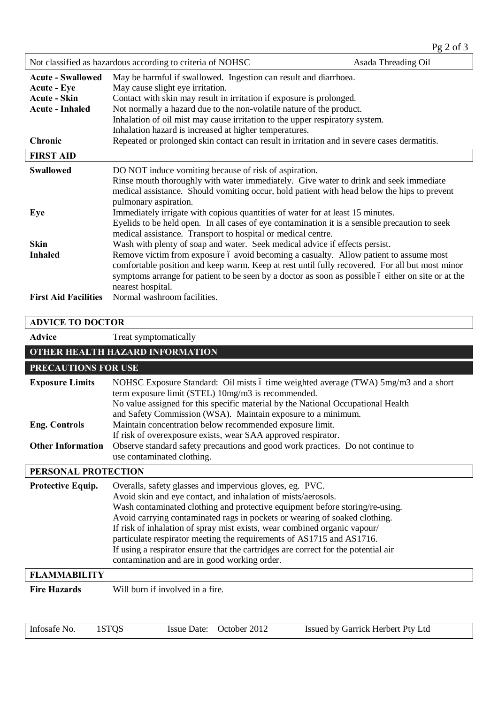| Not classified as hazardous according to criteria of NOHSC                                                        |                                                                                                                                                                                                                                                                                                                                                                                                                                                                                               | Asada Threading Oil |
|-------------------------------------------------------------------------------------------------------------------|-----------------------------------------------------------------------------------------------------------------------------------------------------------------------------------------------------------------------------------------------------------------------------------------------------------------------------------------------------------------------------------------------------------------------------------------------------------------------------------------------|---------------------|
| <b>Acute - Swallowed</b><br><b>Acute - Eye</b><br><b>Acute - Skin</b><br><b>Acute - Inhaled</b><br><b>Chronic</b> | May be harmful if swallowed. Ingestion can result and diarrhoea.<br>May cause slight eye irritation.<br>Contact with skin may result in irritation if exposure is prolonged.<br>Not normally a hazard due to the non-volatile nature of the product.<br>Inhalation of oil mist may cause irritation to the upper respiratory system.<br>Inhalation hazard is increased at higher temperatures.<br>Repeated or prolonged skin contact can result in irritation and in severe cases dermatitis. |                     |
| <b>FIRST AID</b>                                                                                                  |                                                                                                                                                                                                                                                                                                                                                                                                                                                                                               |                     |
| <b>Swallowed</b>                                                                                                  | DO NOT induce vomiting because of risk of aspiration.<br>Rinse mouth thoroughly with water immediately. Give water to drink and seek immediate<br>medical assistance. Should vomiting occur, hold patient with head below the hips to prevent<br>pulmonary aspiration.                                                                                                                                                                                                                        |                     |
| Eye                                                                                                               | Immediately irrigate with copious quantities of water for at least 15 minutes.<br>Eyelids to be held open. In all cases of eye contamination it is a sensible precaution to seek<br>medical assistance. Transport to hospital or medical centre.                                                                                                                                                                                                                                              |                     |
| <b>Skin</b><br><b>Inhaled</b>                                                                                     | Wash with plenty of soap and water. Seek medical advice if effects persist.<br>Remove victim from exposure 6 avoid becoming a casualty. Allow patient to assume most<br>comfortable position and keep warm. Keep at rest until fully recovered. For all but most minor<br>symptoms arrange for patient to be seen by a doctor as soon as possible 6 either on site or at the<br>nearest hospital.                                                                                             |                     |
| <b>First Aid Facilities</b>                                                                                       | Normal washroom facilities.                                                                                                                                                                                                                                                                                                                                                                                                                                                                   |                     |

## **ADVICE TO DOCTOR** Advice Treat symptomatically **OTHER HEALTH HAZARD INFORMATION PRECAUTIONS FOR USE Exposure Limits** NOHSC Exposure Standard: Oil mists 6 time weighted average (TWA) 5mg/m3 and a short term exposure limit (STEL) 10mg/m3 is recommended. No value assigned for this specific material by the National Occupational Health and Safety Commission (WSA). Maintain exposure to a minimum. **Eng. Controls** Maintain concentration below recommended exposure limit. If risk of overexposure exists, wear SAA approved respirator. **Other Information** Observe standard safety precautions and good work practices. Do not continue to use contaminated clothing. **PERSONAL PROTECTION** Protective Equip. Overalls, safety glasses and impervious gloves, eg. PVC. Avoid skin and eye contact, and inhalation of mists/aerosols. Wash contaminated clothing and protective equipment before storing/re-using. Avoid carrying contaminated rags in pockets or wearing of soaked clothing. If risk of inhalation of spray mist exists, wear combined organic vapour/ particulate respirator meeting the requirements of AS1715 and AS1716. If using a respirator ensure that the cartridges are correct for the potential air contamination and are in good working order. **FLAMMABILITY Fire Hazards** Will burn if involved in a fire.

Infosafe No. 1STQS Issue Date: October 2012 Issued by Garrick Herbert Pty Ltd